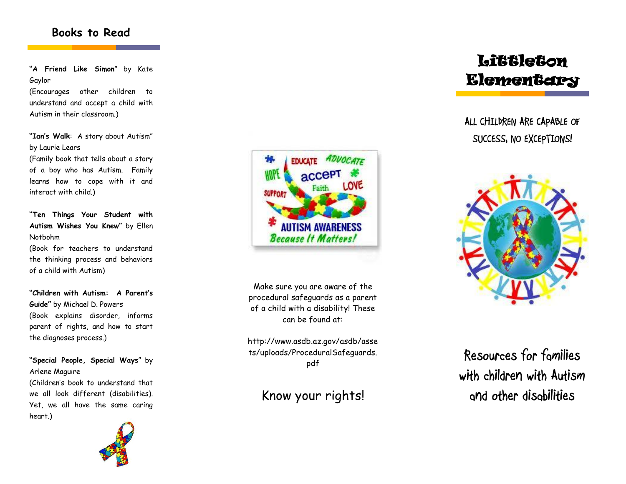## **Books to Read**

**"A Friend Like Simon**" by Kate Gaylor

(Encourages other children to understand and accept a child with Autism in their classroom.)

**"Ian's Walk**: A story about Autism" by Laurie Lears

(Family book that tells about a story of a boy who has Autism. Family learns how to cope with it and interact with child.)

**"Ten Things Your Student with Autism Wishes You Knew"** by Ellen Notbohm

(Book for teachers to understand the thinking process and behaviors of a child with Autism)

**"Children with Autism: A Parent's Guide"** by Michael D. Powers (Book explains disorder, informs parent of rights, and how to start the diagnoses process.)

**"Special People, Special Ways**" by Arlene Maguire (Children's book to understand that

we all look different (disabilities). Yet, we all have the same caring heart.)





Make sure you are aware of the procedural safeguards as a parent of a child with a disability! These can be found at:

http://www.asdb.az.gov/asdb/asse ts/uploads/ProceduralSafeguards. pdf

## Know your rights!

# **Littleton Elementary**

**ALL CHILDREN ARE CAPABLE OF SUCCESS, NO EXCEPTIONS!**



**Resources for families with children with Autism and other disabilities**